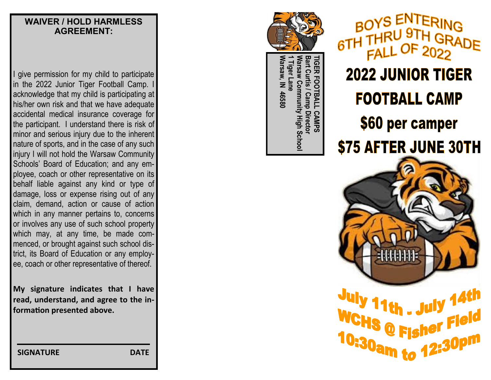#### **WAIVER / HOLD HARMLESS AGREEMENT:**

I give permission for my child to participate in the 2022 Junior Tiger Football Camp. I acknowledge that my child is participating at his/her own risk and that we have adequate accidental medical insurance coverage for the participant. I understand there is risk of minor and serious injury due to the inherent nature of sports, and in the case of any such injury I will not hold the Warsaw Community Schools' Board of Education; and any employee, coach or other representative on its behalf liable against any kind or type of damage, loss or expense rising out of any claim, demand, action or cause of action which in any manner pertains to, concerns or involves any use of such school property which may, at any time, be made commenced, or brought against such school district, its Board of Education or any employee, coach or other representative of thereof.

**My signature indicates that I have read, understand, and agree to the information presented above.**

TIGER **Warsaw, IN 46580 1 Tiger Lane Warsaw Community High School Bart Curtis / Camp Director TIGER FOOTBALL CAMPS Narsaw Community High Schoo Tiger** /arsaw, IN 46580 **Camp Director** CAMPS

BOYS ENTERING 6TH TH **2022 JUNIOR TIGER FOOTBALL CAMP** \$60 per camper **\$75 AFTER JUNE 30TH** 



**1th . July** WCHS @ Fisher Field 10:30am to 12:30pm

 **SIGNATURE DATE**